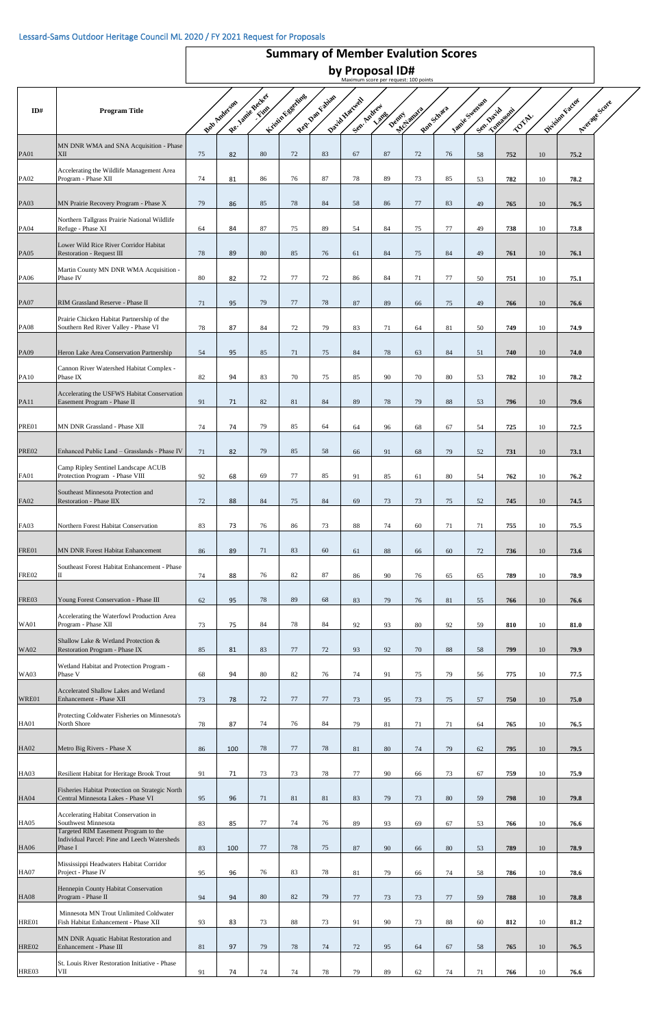## Maximum score per request: 100 points **by Proposal ID# Summary of Member Evalution Scores**

| ID#          | <b>Program Title</b>                                                                          |    |              | Re Janie Becker | Kristin Fogetting | Rep. Dan Fabian | David Hartwell |        |              |            |                             |                           |    |                 |               |
|--------------|-----------------------------------------------------------------------------------------------|----|--------------|-----------------|-------------------|-----------------|----------------|--------|--------------|------------|-----------------------------|---------------------------|----|-----------------|---------------|
|              |                                                                                               |    | Bob Anderson |                 |                   |                 | Sep- Andrew    | Lang   | Denny Lamira | Ron-Schara | Innie Swengon<br>Sen. David | <b>Longestin</b><br>TOTAL |    | Division Factor | Average Score |
| <b>PA01</b>  | MN DNR WMA and SNA Acquisition - Phase<br>XII                                                 | 75 | 82           | $80\,$          | 72                | 83              | 67             | 87     | 72           | 76         | 58                          | 752                       | 10 | 75.2            |               |
| <b>PA02</b>  | Accelerating the Wildlife Management Area<br>Program - Phase XII                              | 74 | 81           | 86              | 76                | 87              | 78             | 89     | 73           | 85         | 53                          | 782                       | 10 | 78.2            |               |
| <b>PA03</b>  | MN Prairie Recovery Program - Phase X                                                         | 79 | 86           | 85              | 78                | 84              | 58             | 86     | 77           | 83         | 49                          | 765                       | 10 | 76.5            |               |
| <b>PA04</b>  | Northern Tallgrass Prairie National Wildlife<br>Refuge - Phase XI                             | 64 | 84           | 87              | 75                | 89              | 54             | 84     | 75           | 77         | 49                          | 738                       | 10 | 73.8            |               |
| <b>PA05</b>  | Lower Wild Rice River Corridor Habitat<br><b>Restoration - Request III</b>                    | 78 | 89           | 80              | 85                | 76              | 61             | 84     | 75           | 84         | 49                          | 761                       | 10 | 76.1            |               |
| <b>PA06</b>  | Martin County MN DNR WMA Acquisition -<br>Phase IV                                            | 80 | 82           | 72              | 77                | 72              | 86             | 84     | 71           | 77         | 50                          | 751                       | 10 | 75.1            |               |
| <b>PA07</b>  | RIM Grassland Reserve - Phase II                                                              | 71 | 95           | 79              | 77                | 78              | 87             | 89     | 66           | 75         | 49                          | 766                       | 10 | 76.6            |               |
| <b>PA08</b>  | Prairie Chicken Habitat Partnership of the<br>Southern Red River Valley - Phase VI            | 78 | 87           | 84              | 72                | 79              | 83             | 71     | 64           | 81         | 50                          | 749                       | 10 | 74.9            |               |
| <b>PA09</b>  | Heron Lake Area Conservation Partnership                                                      | 54 | 95           | 85              | 71                | 75              | 84             | 78     | 63           | 84         | 51                          | 740                       | 10 | 74.0            |               |
| <b>PA10</b>  | Cannon River Watershed Habitat Complex -<br>Phase IX                                          | 82 | 94           | 83              | 70                | 75              | 85             | 90     | 70           | 80         | 53                          | 782                       | 10 | 78.2            |               |
| <b>PA11</b>  | Accelerating the USFWS Habitat Conservation<br>Easement Program - Phase II                    | 91 | 71           | 82              | 81                | 84              | 89             | 78     | 79           | 88         | 53                          | 796                       | 10 | 79.6            |               |
| PRE01        | MN DNR Grassland - Phase XII                                                                  | 74 | 74           | 79              | 85                | 64              | 64             | 96     | 68           | 67         | 54                          | 725                       | 10 | 72.5            |               |
| PRE02        | Enhanced Public Land - Grasslands - Phase IV                                                  | 71 | 82           | 79              | 85                | 58              | 66             | 91     | 68           | 79         | 52                          | 731                       | 10 | 73.1            |               |
| <b>FA01</b>  | Camp Ripley Sentinel Landscape ACUB<br>Protection Program - Phase VIII                        | 92 | 68           | 69              | 77                | 85              | 91             | 85     | 61           | 80         | 54                          | 762                       | 10 | 76.2            |               |
| <b>FA02</b>  | Southeast Minnesota Protection and<br>Restoration - Phase IIX                                 | 72 | 88           | 84              | 75                | 84              | 69             | 73     | 73           | 75         | 52                          | 745                       | 10 | 74.5            |               |
| <b>FA03</b>  | Northern Forest Habitat Conservation                                                          | 83 | 73           | 76              | 86                | 73              | 88             | 74     | 60           | 71         | 71                          | 755                       | 10 | 75.5            |               |
| FRE01        | MN DNR Forest Habitat Enhancement                                                             | 86 | 89           | 71              | 83                | 60              | 61             | 88     | 66           | 60         | 72                          | 736                       | 10 | 73.6            |               |
| FRE02        | Southeast Forest Habitat Enhancement - Phase                                                  | 74 | 88           | 76              | 82                | 87              | 86             | 90     | 76           | 65         | 65                          | 789                       | 10 | 78.9            |               |
| FRE03        | Young Forest Conservation - Phase III                                                         |    |              | 78              | 89                | 68              |                |        |              |            |                             |                           |    |                 |               |
|              | Accelerating the Waterfowl Production Area                                                    | 62 | 95           |                 |                   |                 | 83             | 79     | 76           | 81         | 55                          | 766                       | 10 | 76.6            |               |
| <b>WA01</b>  | Program - Phase XII<br>Shallow Lake & Wetland Protection &                                    | 73 | 75           | 84              | 78                | 84              | 92             | 93     | 80           | 92         | 59                          | 810                       | 10 | 81.0            |               |
| <b>WA02</b>  | Restoration Program - Phase IX<br>Wetland Habitat and Protection Program -                    | 85 | 81           | 83              | 77                | 72              | 93             | 92     | 70           | 88         | 58                          | 799                       | 10 | 79.9            |               |
| <b>WA03</b>  | Phase V<br>Accelerated Shallow Lakes and Wetland                                              | 68 | 94           | 80              | 82                | 76              | 74             | 91     | 75           | 79         | 56                          | 775                       | 10 | 77.5            |               |
| WRE01        | Enhancement - Phase XII<br>Protecting Coldwater Fisheries on Minnesota's                      | 73 | 78           | 72              | 77                | 77              | 73             | 95     | 73           | 75         | 57                          | 750                       | 10 | 75.0            |               |
| <b>HA01</b>  | North Shore                                                                                   | 78 | 87           | 74              | 76                | 84              | 79             | 81     | 71           | 71         | 64                          | 765                       | 10 | 76.5            |               |
| <b>HA02</b>  | Metro Big Rivers - Phase X                                                                    | 86 | 100          | 78              | 77                | 78              | 81             | 80     | 74           | 79         | 62                          | 795                       | 10 | 79.5            |               |
| HA03         | Resilient Habitat for Heritage Brook Trout<br>Fisheries Habitat Protection on Strategic North | 91 | 71           | 73              | 73                | 78              | 77             | 90     | 66           | 73         | 67                          | 759                       | 10 | 75.9            |               |
| <b>HA04</b>  | Central Minnesota Lakes - Phase VI<br>Accelerating Habitat Conservation in                    | 95 | 96           | 71              | 81                | 81              | 83             | 79     | 73           | 80         | 59                          | 798                       | 10 | 79.8            |               |
| <b>HA05</b>  | Southwest Minnesota<br>Targeted RIM Easement Program to the                                   | 83 | 85           | 77              | 74                | 76              | 89             | 93     | 69           | 67         | 53                          | 766                       | 10 | 76.6            |               |
| <b>HA06</b>  | Individual Parcel: Pine and Leech Watersheds<br>Phase I                                       | 83 | 100          | 77              | 78                | 75              | 87             | 90     | 66           | 80         | 53                          | 789                       | 10 | 78.9            |               |
| HA07         | Mississippi Headwaters Habitat Corridor<br>Project - Phase IV                                 | 95 | 96           | 76              | 83                | 78              | 81             | 79     | 66           | 74         | 58                          | 786                       | 10 | 78.6            |               |
| <b>HA08</b>  | Hennepin County Habitat Conservation<br>Program - Phase II                                    | 94 | 94           | 80              | 82                | 79              | 77             | 73     | 73           | 77         | 59                          | 788                       | 10 | 78.8            |               |
| HRE01        | Minnesota MN Trout Unlimited Coldwater<br>Fish Habitat Enhancement - Phase XII                | 93 | 83           | 73              | 88                | 73              | 91             | $90\,$ | 73           | $88\,$     | 60                          | 812                       | 10 | 81.2            |               |
| <b>HRE02</b> | MN DNR Aquatic Habitat Restoration and<br>Enhancement - Phase III                             | 81 | 97           | 79              | 78                | 74              | $72\,$         | 95     | 64           | 67         | 58                          | 765                       | 10 | 76.5            |               |
| HRE03        | St. Louis River Restoration Initiative - Phase<br>VII                                         | 91 | 74           | 74              | $74\,$            | 78              | 79             | $89\,$ | 62           | $74\,$     | 71                          | 766                       | 10 | 76.6            |               |